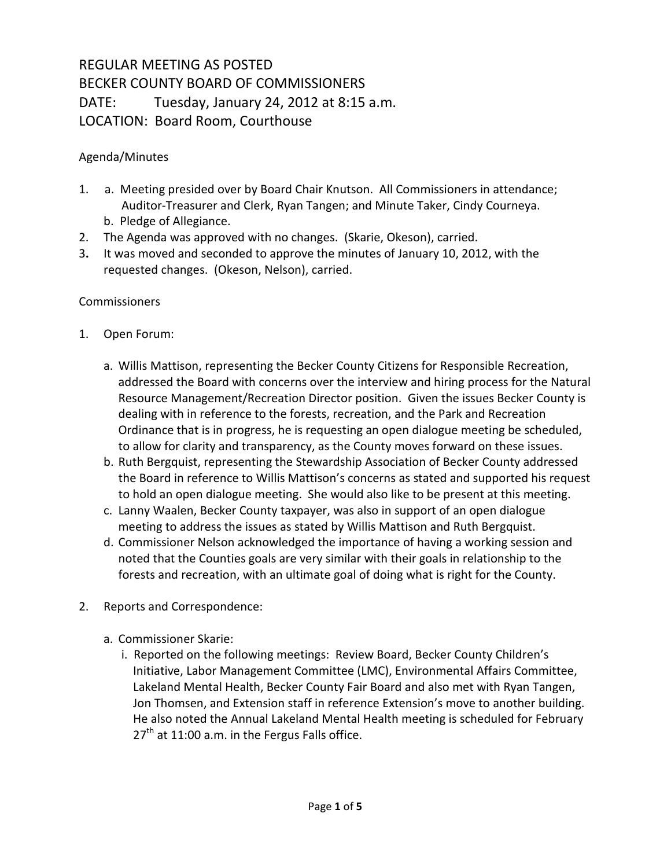## REGULAR MEETING AS POSTED BECKER COUNTY BOARD OF COMMISSIONERS DATE: Tuesday, January 24, 2012 at 8:15 a.m. LOCATION: Board Room, Courthouse

## Agenda/Minutes

- 1. a. Meeting presided over by Board Chair Knutson. All Commissioners in attendance; Auditor-Treasurer and Clerk, Ryan Tangen; and Minute Taker, Cindy Courneya. b. Pledge of Allegiance.
- 2. The Agenda was approved with no changes. (Skarie, Okeson), carried.
- 3**.** It was moved and seconded to approve the minutes of January 10, 2012, with the requested changes. (Okeson, Nelson), carried.

## **Commissioners**

- 1. Open Forum:
	- a. Willis Mattison, representing the Becker County Citizens for Responsible Recreation, addressed the Board with concerns over the interview and hiring process for the Natural Resource Management/Recreation Director position. Given the issues Becker County is dealing with in reference to the forests, recreation, and the Park and Recreation Ordinance that is in progress, he is requesting an open dialogue meeting be scheduled, to allow for clarity and transparency, as the County moves forward on these issues.
	- b. Ruth Bergquist, representing the Stewardship Association of Becker County addressed the Board in reference to Willis Mattison's concerns as stated and supported his request to hold an open dialogue meeting. She would also like to be present at this meeting.
	- c. Lanny Waalen, Becker County taxpayer, was also in support of an open dialogue meeting to address the issues as stated by Willis Mattison and Ruth Bergquist.
	- d. Commissioner Nelson acknowledged the importance of having a working session and noted that the Counties goals are very similar with their goals in relationship to the forests and recreation, with an ultimate goal of doing what is right for the County.
- 2. Reports and Correspondence:
	- a. Commissioner Skarie:
		- i. Reported on the following meetings: Review Board, Becker County Children's Initiative, Labor Management Committee (LMC), Environmental Affairs Committee, Lakeland Mental Health, Becker County Fair Board and also met with Ryan Tangen, Jon Thomsen, and Extension staff in reference Extension's move to another building. He also noted the Annual Lakeland Mental Health meeting is scheduled for February  $27<sup>th</sup>$  at 11:00 a.m. in the Fergus Falls office.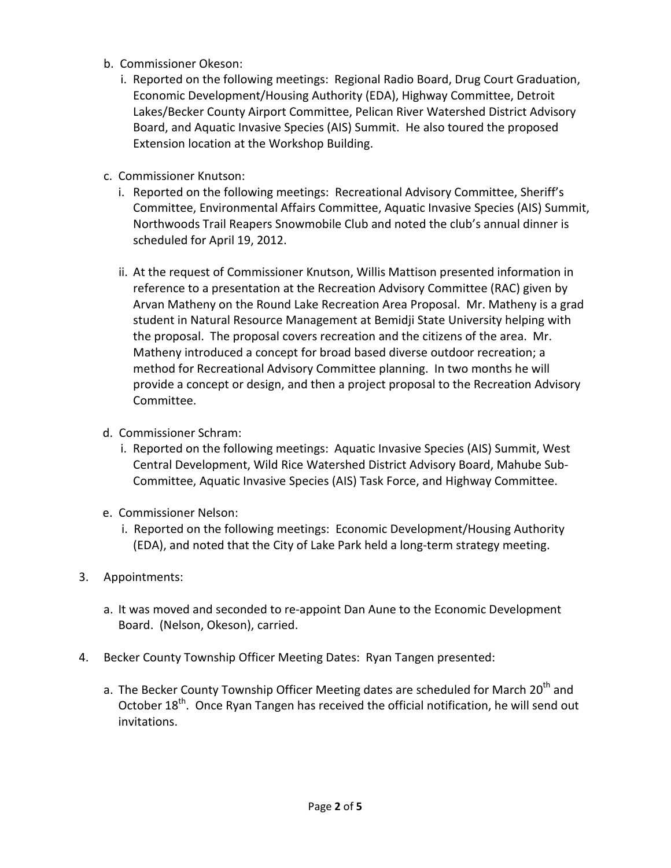- b. Commissioner Okeson:
	- i. Reported on the following meetings: Regional Radio Board, Drug Court Graduation, Economic Development/Housing Authority (EDA), Highway Committee, Detroit Lakes/Becker County Airport Committee, Pelican River Watershed District Advisory Board, and Aquatic Invasive Species (AIS) Summit. He also toured the proposed Extension location at the Workshop Building.
- c. Commissioner Knutson:
	- i. Reported on the following meetings: Recreational Advisory Committee, Sheriff's Committee, Environmental Affairs Committee, Aquatic Invasive Species (AIS) Summit, Northwoods Trail Reapers Snowmobile Club and noted the club's annual dinner is scheduled for April 19, 2012.
	- ii. At the request of Commissioner Knutson, Willis Mattison presented information in reference to a presentation at the Recreation Advisory Committee (RAC) given by Arvan Matheny on the Round Lake Recreation Area Proposal. Mr. Matheny is a grad student in Natural Resource Management at Bemidji State University helping with the proposal. The proposal covers recreation and the citizens of the area. Mr. Matheny introduced a concept for broad based diverse outdoor recreation; a method for Recreational Advisory Committee planning. In two months he will provide a concept or design, and then a project proposal to the Recreation Advisory Committee.
- d. Commissioner Schram:
	- i. Reported on the following meetings: Aquatic Invasive Species (AIS) Summit, West Central Development, Wild Rice Watershed District Advisory Board, Mahube Sub-Committee, Aquatic Invasive Species (AIS) Task Force, and Highway Committee.
- e. Commissioner Nelson:
	- i. Reported on the following meetings: Economic Development/Housing Authority (EDA), and noted that the City of Lake Park held a long-term strategy meeting.
- 3. Appointments:
	- a. It was moved and seconded to re-appoint Dan Aune to the Economic Development Board. (Nelson, Okeson), carried.
- 4. Becker County Township Officer Meeting Dates: Ryan Tangen presented:
	- a. The Becker County Township Officer Meeting dates are scheduled for March 20<sup>th</sup> and October 18<sup>th</sup>. Once Ryan Tangen has received the official notification, he will send out invitations.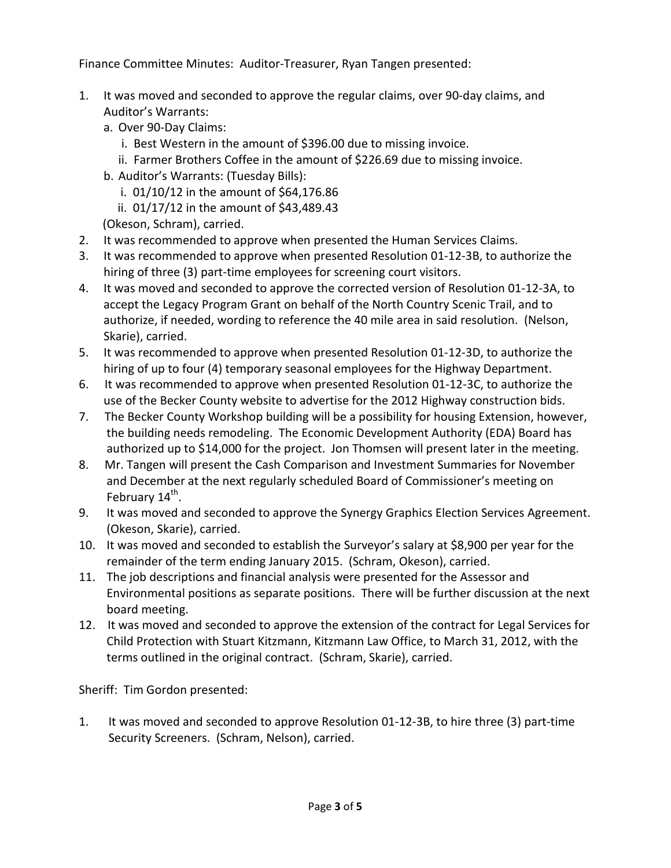Finance Committee Minutes: Auditor-Treasurer, Ryan Tangen presented:

- 1. It was moved and seconded to approve the regular claims, over 90-day claims, and Auditor's Warrants:
	- a. Over 90-Day Claims:
		- i. Best Western in the amount of \$396.00 due to missing invoice.
		- ii. Farmer Brothers Coffee in the amount of \$226.69 due to missing invoice.
	- b. Auditor's Warrants: (Tuesday Bills):
		- i. 01/10/12 in the amount of \$64,176.86
		- ii. 01/17/12 in the amount of \$43,489.43
	- (Okeson, Schram), carried.
- 2. It was recommended to approve when presented the Human Services Claims.
- 3. It was recommended to approve when presented Resolution 01-12-3B, to authorize the hiring of three (3) part-time employees for screening court visitors.
- 4. It was moved and seconded to approve the corrected version of Resolution 01-12-3A, to accept the Legacy Program Grant on behalf of the North Country Scenic Trail, and to authorize, if needed, wording to reference the 40 mile area in said resolution. (Nelson, Skarie), carried.
- 5. It was recommended to approve when presented Resolution 01-12-3D, to authorize the hiring of up to four (4) temporary seasonal employees for the Highway Department.
- 6. It was recommended to approve when presented Resolution 01-12-3C, to authorize the use of the Becker County website to advertise for the 2012 Highway construction bids.
- 7. The Becker County Workshop building will be a possibility for housing Extension, however, the building needs remodeling. The Economic Development Authority (EDA) Board has authorized up to \$14,000 for the project. Jon Thomsen will present later in the meeting.
- 8. Mr. Tangen will present the Cash Comparison and Investment Summaries for November and December at the next regularly scheduled Board of Commissioner's meeting on February 14<sup>th</sup>.
- 9. It was moved and seconded to approve the Synergy Graphics Election Services Agreement. (Okeson, Skarie), carried.
- 10. It was moved and seconded to establish the Surveyor's salary at \$8,900 per year for the remainder of the term ending January 2015. (Schram, Okeson), carried.
- 11. The job descriptions and financial analysis were presented for the Assessor and Environmental positions as separate positions. There will be further discussion at the next board meeting.
- 12. It was moved and seconded to approve the extension of the contract for Legal Services for Child Protection with Stuart Kitzmann, Kitzmann Law Office, to March 31, 2012, with the terms outlined in the original contract. (Schram, Skarie), carried.

Sheriff: Tim Gordon presented:

1. It was moved and seconded to approve Resolution 01-12-3B, to hire three (3) part-time Security Screeners. (Schram, Nelson), carried.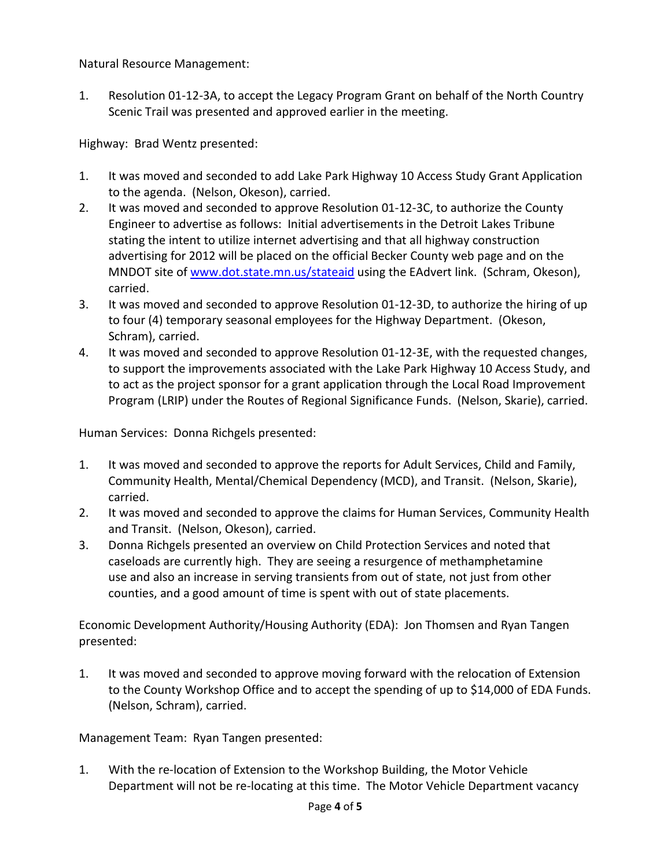Natural Resource Management:

1. Resolution 01-12-3A, to accept the Legacy Program Grant on behalf of the North Country Scenic Trail was presented and approved earlier in the meeting.

Highway: Brad Wentz presented:

- 1. It was moved and seconded to add Lake Park Highway 10 Access Study Grant Application to the agenda. (Nelson, Okeson), carried.
- 2. It was moved and seconded to approve Resolution 01-12-3C, to authorize the County Engineer to advertise as follows: Initial advertisements in the Detroit Lakes Tribune stating the intent to utilize internet advertising and that all highway construction advertising for 2012 will be placed on the official Becker County web page and on the MNDOT site o[f www.dot.state.mn.us/stateaid](http://www.dot.state.mn.us/stateaid) using the EAdvert link. (Schram, Okeson), carried.
- 3. It was moved and seconded to approve Resolution 01-12-3D, to authorize the hiring of up to four (4) temporary seasonal employees for the Highway Department. (Okeson, Schram), carried.
- 4. It was moved and seconded to approve Resolution 01-12-3E, with the requested changes, to support the improvements associated with the Lake Park Highway 10 Access Study, and to act as the project sponsor for a grant application through the Local Road Improvement Program (LRIP) under the Routes of Regional Significance Funds. (Nelson, Skarie), carried.

Human Services: Donna Richgels presented:

- 1. It was moved and seconded to approve the reports for Adult Services, Child and Family, Community Health, Mental/Chemical Dependency (MCD), and Transit. (Nelson, Skarie), carried.
- 2. It was moved and seconded to approve the claims for Human Services, Community Health and Transit. (Nelson, Okeson), carried.
- 3. Donna Richgels presented an overview on Child Protection Services and noted that caseloads are currently high. They are seeing a resurgence of methamphetamine use and also an increase in serving transients from out of state, not just from other counties, and a good amount of time is spent with out of state placements.

Economic Development Authority/Housing Authority (EDA): Jon Thomsen and Ryan Tangen presented:

1. It was moved and seconded to approve moving forward with the relocation of Extension to the County Workshop Office and to accept the spending of up to \$14,000 of EDA Funds. (Nelson, Schram), carried.

Management Team: Ryan Tangen presented:

1. With the re-location of Extension to the Workshop Building, the Motor Vehicle Department will not be re-locating at this time. The Motor Vehicle Department vacancy